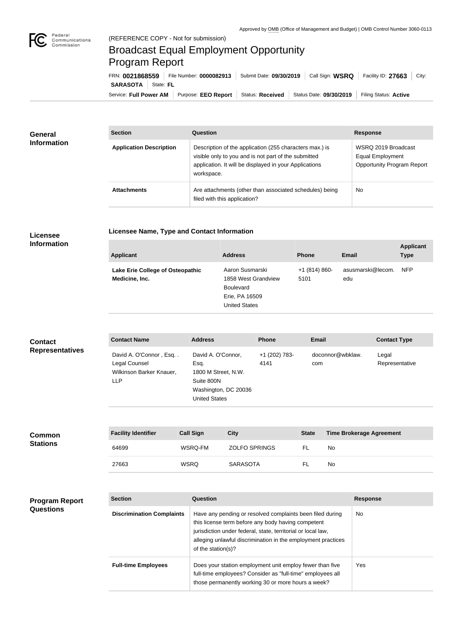## Broadcast Equal Employment Opportunity Program Report

**Licensee Name, Type and Contact Information**

Service: Full Power AM | Purpose: EEO Report | Status: Received | Status Date: 09/30/2019 | Filing Status: Active **SARASOTA** State: FL FRN: **0021868559** File Number: **0000082913** Submit Date: **09/30/2019** Call Sign: **WSRQ** Facility ID: **27663** City:

| General<br><b>Information</b> | <b>Section</b>                 | Question                                                                                                                                                                                | <b>Response</b>                                                              |
|-------------------------------|--------------------------------|-----------------------------------------------------------------------------------------------------------------------------------------------------------------------------------------|------------------------------------------------------------------------------|
|                               | <b>Application Description</b> | Description of the application (255 characters max.) is<br>visible only to you and is not part of the submitted<br>application. It will be displayed in your Applications<br>workspace. | WSRQ 2019 Broadcast<br>Equal Employment<br><b>Opportunity Program Report</b> |
|                               | <b>Attachments</b>             | Are attachments (other than associated schedules) being<br>filed with this application?                                                                                                 | No                                                                           |

## **Licensee Information**

| <b>Applicant</b>                                   | <b>Address</b>                                                                                       | <b>Phone</b>          | <b>Email</b>             | <b>Applicant</b><br><b>Type</b> |
|----------------------------------------------------|------------------------------------------------------------------------------------------------------|-----------------------|--------------------------|---------------------------------|
| Lake Erie College of Osteopathic<br>Medicine, Inc. | Aaron Susmarski<br>1858 West Grandview<br><b>Boulevard</b><br>Erie, PA 16509<br><b>United States</b> | $+1(814)860-$<br>5101 | asusmarski@lecom.<br>edu | <b>NFP</b>                      |

| <b>Contact</b>         | <b>Contact Name</b>                                                        | <b>Address</b>                                                                                                  | <b>Phone</b>          | <b>Email</b>            | <b>Contact Type</b>     |
|------------------------|----------------------------------------------------------------------------|-----------------------------------------------------------------------------------------------------------------|-----------------------|-------------------------|-------------------------|
| <b>Representatives</b> | David A. O'Connor, Esq<br>Legal Counsel<br>Wilkinson Barker Knauer,<br>LLP | David A. O'Connor,<br>Esg.<br>1800 M Street, N.W.<br>Suite 800N<br>Washington, DC 20036<br><b>United States</b> | +1 (202) 783-<br>4141 | doconnor@wbklaw.<br>com | Legal<br>Representative |

| <b>Common</b><br><b>Stations</b> | <b>Facility Identifier</b> | <b>Call Sign</b> | City                 | <b>State</b> | <b>Time Brokerage Agreement</b> |
|----------------------------------|----------------------------|------------------|----------------------|--------------|---------------------------------|
|                                  | 64699                      | WSRQ-FM          | <b>ZOLFO SPRINGS</b> | -FL          | No                              |
|                                  | 27663                      | <b>WSRQ</b>      | <b>SARASOTA</b>      |              | No                              |

| <b>Program Report</b><br><b>Questions</b> | <b>Section</b>                   | Question                                                                                                                                                                                                                                                              | <b>Response</b> |  |
|-------------------------------------------|----------------------------------|-----------------------------------------------------------------------------------------------------------------------------------------------------------------------------------------------------------------------------------------------------------------------|-----------------|--|
|                                           | <b>Discrimination Complaints</b> | Have any pending or resolved complaints been filed during<br>this license term before any body having competent<br>jurisdiction under federal, state, territorial or local law,<br>alleging unlawful discrimination in the employment practices<br>of the station(s)? | No.             |  |
|                                           | <b>Full-time Employees</b>       | Does your station employment unit employ fewer than five<br>full-time employees? Consider as "full-time" employees all<br>those permanently working 30 or more hours a week?                                                                                          | Yes             |  |